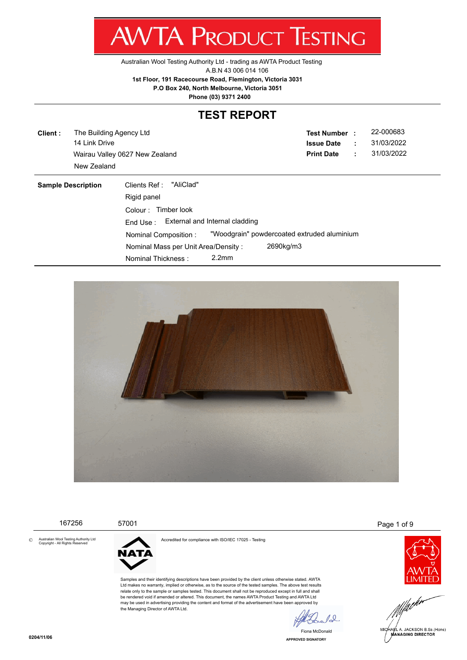Z, WV I/ V I NUDUCT IESHING

[Australian Wool Testing Authority Ltd - trading as AWTA Product Testing](http://www.awta.com.au/index.php/en/)

A.B.N 43 006 014 106

**1st Floor, 191 Racecourse Road, Flemington, Victoria 3031**

 **P.O Box 240, North Melbourne, Victoria 3051**

**Phone (03) 9371 2400**

# **TEST REPORT**

**Client :** 14 Link Drive Wairau Valley 0627 New Zealand **Print Date** : 31/03/2022 The Building Agency Ltd New Zealand

**Test Number : Issue Date :** 22-000683 31/03/2022

| <b>Sample Description</b> | "AliClad"<br>Clients Ref :<br>Rigid panel |                   |                                             |
|---------------------------|-------------------------------------------|-------------------|---------------------------------------------|
|                           | Timber look<br>Colour :                   |                   |                                             |
|                           | End Use: External and Internal cladding   |                   |                                             |
|                           | Nominal Composition:                      |                   | "Woodgrain" powdercoated extruded aluminium |
|                           | Nominal Mass per Unit Area/Density:       |                   | 2690kg/m3                                   |
|                           | Nominal Thickness :                       | 2.2 <sub>mm</sub> |                                             |



|         | 167256                                                                   | 57001                                             |                                                                                                                                                                                                                                                                                                                                                                                                                                                                                                                                                                                                                   |                | Page 1 of 9                                                |
|---------|--------------------------------------------------------------------------|---------------------------------------------------|-------------------------------------------------------------------------------------------------------------------------------------------------------------------------------------------------------------------------------------------------------------------------------------------------------------------------------------------------------------------------------------------------------------------------------------------------------------------------------------------------------------------------------------------------------------------------------------------------------------------|----------------|------------------------------------------------------------|
| $\odot$ | Australian Wool Testing Authority Ltd<br>Copyright - All Rights Reserved | <b>NATA</b><br>the Managing Director of AWTA Ltd. | Accredited for compliance with ISO/IEC 17025 - Testing<br>Samples and their identifying descriptions have been provided by the client unless otherwise stated. AWTA<br>Ltd makes no warranty, implied or otherwise, as to the source of the tested samples. The above test results<br>relate only to the sample or samples tested. This document shall not be reproduced except in full and shall<br>be rendered void if amended or altered. This document, the names AWTA Product Testing and AWTA Ltd<br>may be used in advertising providing the content and format of the advertisement have been approved by |                |                                                            |
|         | 0204/44/05                                                               |                                                   |                                                                                                                                                                                                                                                                                                                                                                                                                                                                                                                                                                                                                   | Fiona McDonald | MICHAEL A. JACKSON B.Sc.(Hons)<br><b>MANAGING DIRECTOR</b> |

**APPROVED SIGNATORY**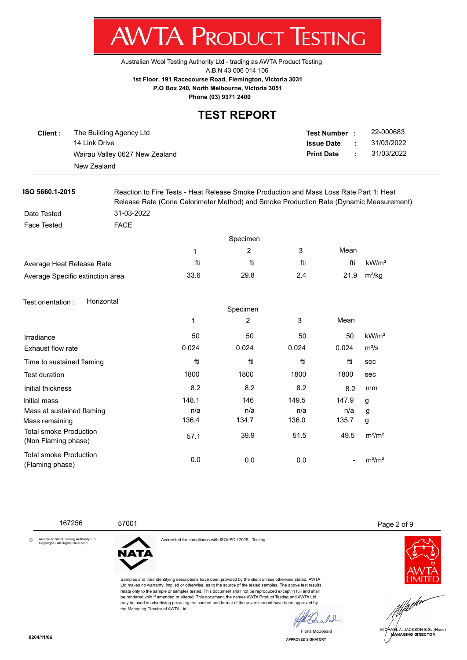7 WV I/VI NUDUCT IEJHINU

[Australian Wool Testing Authority Ltd - trading as AWTA Product Testing](http://www.awta.com.au/index.php/en/)

A.B.N 43 006 014 106

**1st Floor, 191 Racecourse Road, Flemington, Victoria 3031**

 **P.O Box 240, North Melbourne, Victoria 3051**

**Phone (03) 9371 2400**

#### **TEST REPORT**

| Client : | The Building Agency Ltd        | Test Number :     |   | 22-000683  |
|----------|--------------------------------|-------------------|---|------------|
|          | 14 Link Drive                  | <b>Issue Date</b> | ÷ | 31/03/2022 |
|          | Wairau Valley 0627 New Zealand | <b>Print Date</b> | ÷ | 31/03/2022 |
|          | New Zealand                    |                   |   |            |
|          |                                |                   |   |            |

**ISO 5660.1-2015** Reaction to Fire Tests - Heat Release Smoke Production and Mass Loss Rate Part 1: Heat Release Rate (Cone Calorimeter Method) and Smoke Production Rate (Dynamic Measurement) Date Tested 31-03-2022

Face Tested **FACE** 

|                                  | Specimen |      |     |      |                    |
|----------------------------------|----------|------|-----|------|--------------------|
|                                  |          |      |     | Mean |                    |
| Average Heat Release Rate        | fti      | fti  | fti | fti  | kW/m <sup>2</sup>  |
| Average Specific extinction area | 33.6     | 29.8 | 2.4 | 21.9 | m <sup>2</sup> /kg |

#### Test orientation : Horizontal

|                                                      | Specimen     |       |       |       |                   |
|------------------------------------------------------|--------------|-------|-------|-------|-------------------|
|                                                      | $\mathbf{1}$ | 2     | 3     | Mean  |                   |
| Irradiance                                           | 50           | 50    | 50    | 50    | kW/m <sup>2</sup> |
| Exhaust flow rate                                    | 0.024        | 0.024 | 0.024 | 0.024 | $m^3/s$           |
| Time to sustained flaming                            | fti          | fti   | fti   | fti   | sec               |
| <b>Test duration</b>                                 | 1800         | 1800  | 1800  | 1800  | sec               |
| Initial thickness                                    | 8.2          | 8.2   | 8.2   | 8.2   | mm                |
| Initial mass                                         | 148.1        | 146   | 149.5 | 147.9 | g                 |
| Mass at sustained flaming                            | n/a          | n/a   | n/a   | n/a   | g                 |
| Mass remaining                                       | 136.4        | 134.7 | 136.0 | 135.7 | g                 |
| <b>Total smoke Production</b><br>(Non Flaming phase) | 57.1         | 39.9  | 51.5  | 49.5  | $m^2/m^2$         |
| <b>Total smoke Production</b><br>(Flaming phase)     | 0.0          | 0.0   | 0.0   |       | $m^2/m^2$         |

167256 57001 Page 2 of 9

Australian Wool Testing Authority Ltd Copyright - All Rights Reserved ©



the Managing Director of AWTA Ltd.

Accredited for compliance with ISO/IEC 17025 - Testing

Samples and their identifying descriptions have been provided by the client unless otherwise stated. AWTA Ltd makes no warranty, implied or otherwise, as to the source of the tested samples. The above test results relate only to the sample or samples tested. This document shall not be reproduced except in full and shall be rendered void if amended or altered. This document, the names AWTA Product Testing and AWTA Ltd may be used in advertising providing the content and format of the advertisement have been approved by





**APPROVED SIGNATORY** Fiona McDonald

 $10$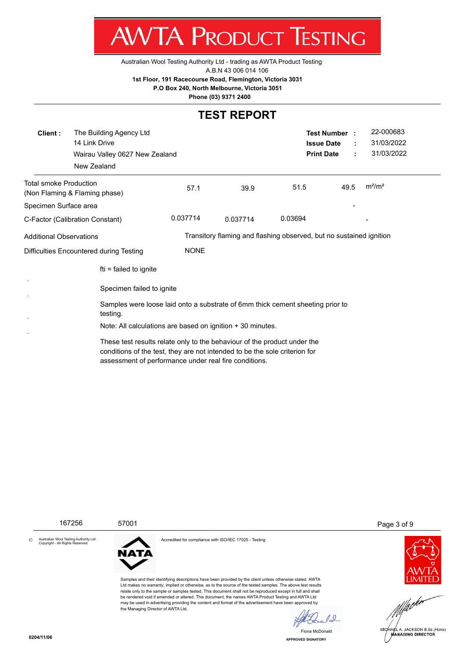

[Australian Wool Testing Authority Ltd - trading as AWTA Product Testing](http://www.awta.com.au/index.php/en/)

A.B.N 43 006 014 106

**1st Floor, 191 Racecourse Road, Flemington, Victoria 3031**

 **P.O Box 240, North Melbourne, Victoria 3051**

**Phone (03) 9371 2400**

## **TEST REPORT**

| Client:                                                                                                                                                                                                         | The Building Agency Ltd<br>14 Link Drive<br>Wairau Valley 0627 New Zealand<br>New Zealand  |             |          | <b>Issue Date</b><br><b>Print Date</b>                              | <b>Test Number :</b> | 22-000683<br>31/03/2022<br>31/03/2022 |  |
|-----------------------------------------------------------------------------------------------------------------------------------------------------------------------------------------------------------------|--------------------------------------------------------------------------------------------|-------------|----------|---------------------------------------------------------------------|----------------------|---------------------------------------|--|
| <b>Total smoke Production</b>                                                                                                                                                                                   | (Non Flaming & Flaming phase)                                                              | 57.1        | 39.9     | 51.5                                                                | 49.5                 | $m^2/m^2$                             |  |
| Specimen Surface area                                                                                                                                                                                           |                                                                                            |             |          |                                                                     |                      |                                       |  |
|                                                                                                                                                                                                                 | C-Factor (Calibration Constant)                                                            | 0.037714    | 0.037714 | 0.03694                                                             |                      |                                       |  |
| Additional Observations                                                                                                                                                                                         |                                                                                            |             |          | Transitory flaming and flashing observed, but no sustained ignition |                      |                                       |  |
| Difficulties Encountered during Testing                                                                                                                                                                         |                                                                                            | <b>NONE</b> |          |                                                                     |                      |                                       |  |
|                                                                                                                                                                                                                 | $fti = failed to ignite$                                                                   |             |          |                                                                     |                      |                                       |  |
|                                                                                                                                                                                                                 | Specimen failed to ignite                                                                  |             |          |                                                                     |                      |                                       |  |
|                                                                                                                                                                                                                 | Samples were loose laid onto a substrate of 6mm thick cement sheeting prior to<br>testing. |             |          |                                                                     |                      |                                       |  |
|                                                                                                                                                                                                                 | Note: All calculations are based on ignition + 30 minutes.                                 |             |          |                                                                     |                      |                                       |  |
| These test results relate only to the behaviour of the product under the<br>conditions of the test, they are not intended to be the sole criterion for<br>assessment of performance under real fire conditions. |                                                                                            |             |          |                                                                     |                      |                                       |  |



**APPROVED SIGNATORY** Fiona McDonald

MICHARL A. JACKSON B.Sc. (Hons)

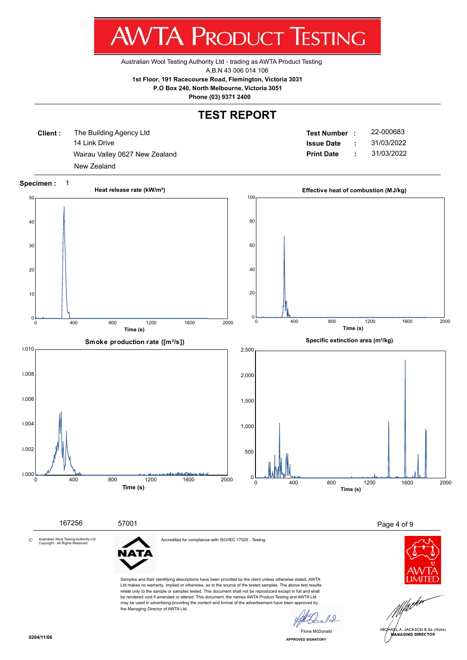w v  $\blacksquare$ **A** 1 NUDUCT 1 E.J u ш ש

[Australian Wool Testing Authority Ltd - trading as AWTA Product Testing](http://www.awta.com.au/index.php/en/)

A.B.N 43 006 014 106

**1st Floor, 191 Racecourse Road, Flemington, Victoria 3031**

 **P.O Box 240, North Melbourne, Victoria 3051**

**Phone (03) 9371 2400**

#### **TEST REPORT**

**Client :** 14 Link Drive Wairau Valley 0627 New Zealand **Print Date** : 31/03/2022 The Building Agency Ltd New Zealand

**Test Number : Issue Date :** 22-000683 31/03/2022



 $10^{-1}$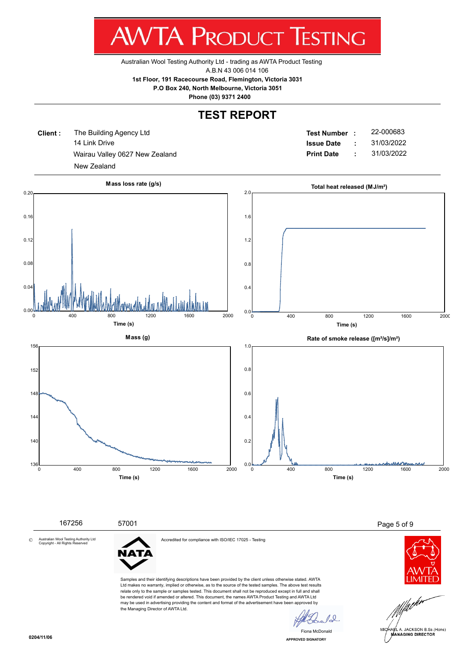w v  $\mathbf{I}$ ш NUDUCT п ש

[Australian Wool Testing Authority Ltd - trading as AWTA Product Testing](http://www.awta.com.au/index.php/en/)

A.B.N 43 006 014 106

**1st Floor, 191 Racecourse Road, Flemington, Victoria 3031**

 **P.O Box 240, North Melbourne, Victoria 3051**

**Phone (03) 9371 2400**

#### **TEST REPORT**

**Client :** 14 Link Drive Wairau Valley 0627 New Zealand **Print Date :** 31/03/2022 The Building Agency Ltd New Zealand

**Test Number : Issue Date :** 22-000683 31/03/2022



**APPROVED SIGNATORY** Fiona McDonald

 $10^{-1}$ 

the Managing Director of AWTA Ltd.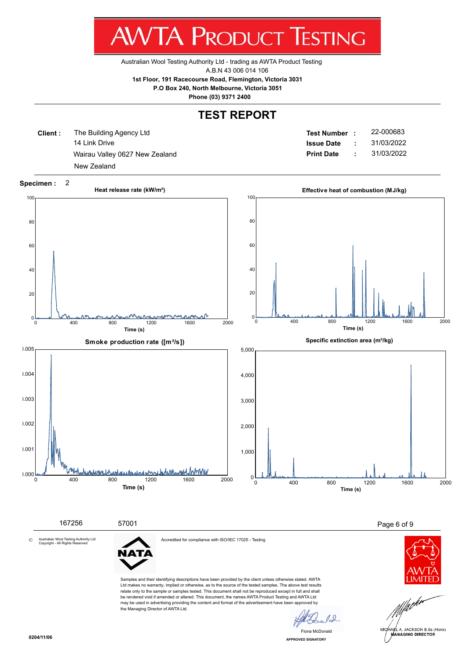w v  $\mathbf{L}$ x. ш NUDUCT ∎∟⊃ ш ש

[Australian Wool Testing Authority Ltd - trading as AWTA Product Testing](http://www.awta.com.au/index.php/en/)

A.B.N 43 006 014 106

**1st Floor, 191 Racecourse Road, Flemington, Victoria 3031**

 **P.O Box 240, North Melbourne, Victoria 3051**

**Phone (03) 9371 2400**

#### **TEST REPORT**

**Client :** 14 Link Drive Wairau Valley 0627 New Zealand **Print Date** : 31/03/2022 The Building Agency Ltd New Zealand

**Test Number : Issue Date :** 22-000683 31/03/2022



Samples and their identifying descriptions have been provided by the client unless otherwise stated. AWTA Ltd makes no warranty, implied or otherwise, as to the source of the tested samples. The above test results relate only to the sample or samples tested. This document shall not be reproduced except in full and shall be rendered void if amended or altered. This document, the names AWTA Product Testing and AWTA Ltd may be used in advertising providing the content and format of the advertisement have been approved by the Managing Director of AWTA Ltd.

 $10^{-1}$ AEL A. JACKSON B.Sc.(Hons) **MANAGING DIRECTOR** 

**APPROVED SIGNATORY** Fiona McDonald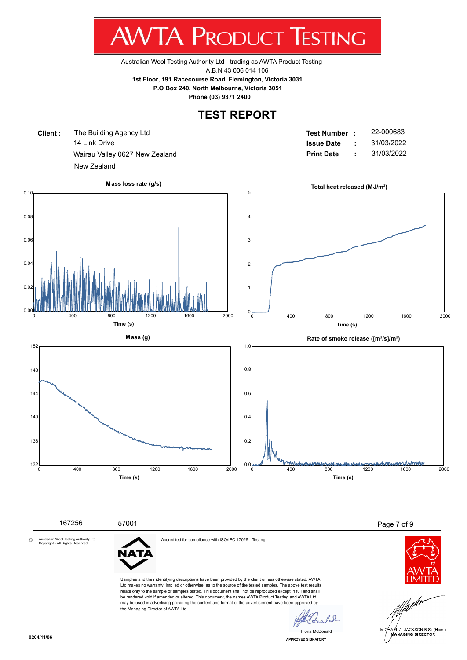w v  $\mathbf{I}$ ш NUDUCT п ש

[Australian Wool Testing Authority Ltd - trading as AWTA Product Testing](http://www.awta.com.au/index.php/en/)

A.B.N 43 006 014 106

**1st Floor, 191 Racecourse Road, Flemington, Victoria 3031**

 **P.O Box 240, North Melbourne, Victoria 3051**

**Phone (03) 9371 2400**

## **TEST REPORT**

**Client :** 14 Link Drive Wairau Valley 0627 New Zealand **Print Date :** 31/03/2022 The Building Agency Ltd New Zealand

**Test Number : Issue Date :** 22-000683 31/03/2022





**APPROVED SIGNATORY** Fiona McDonald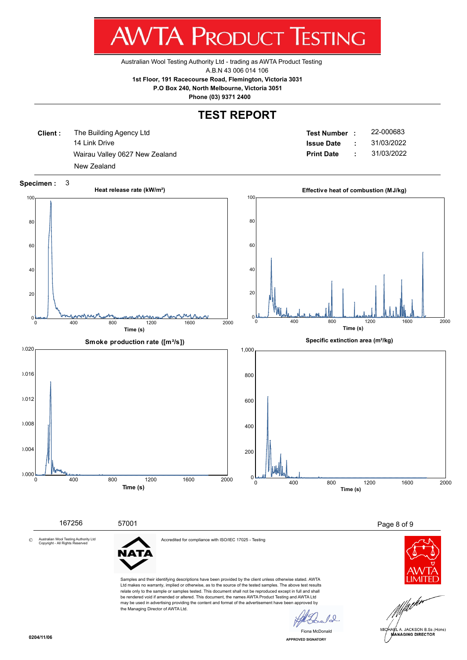w v  $\mathbf{L}$ v. ш NUDUCT нμ ш ש

[Australian Wool Testing Authority Ltd - trading as AWTA Product Testing](http://www.awta.com.au/index.php/en/)

A.B.N 43 006 014 106

**1st Floor, 191 Racecourse Road, Flemington, Victoria 3031**

 **P.O Box 240, North Melbourne, Victoria 3051**

**Phone (03) 9371 2400**

## **TEST REPORT**

**Client :** 14 Link Drive Wairau Valley 0627 New Zealand **Print Date** : 31/03/2022 The Building Agency Ltd New Zealand

**Test Number : Issue Date :** 22-000683 31/03/2022



Ltd makes no warranty, implied or otherwise, as to the source of the tested samples. The above test results relate only to the sample or samples tested. This document shall not be reproduced except in full and shall be rendered void if amended or altered. This document, the names AWTA Product Testing and AWTA Ltd may be used in advertising providing the content and format of the advertisement have been approved by the Managing Director of AWTA Ltd.

 $10^{-1}$ 

**APPROVED SIGNATORY** Fiona McDonald



AEL A. JACKSON B.Sc.(Hons) **MANAGING DIRECTOR**